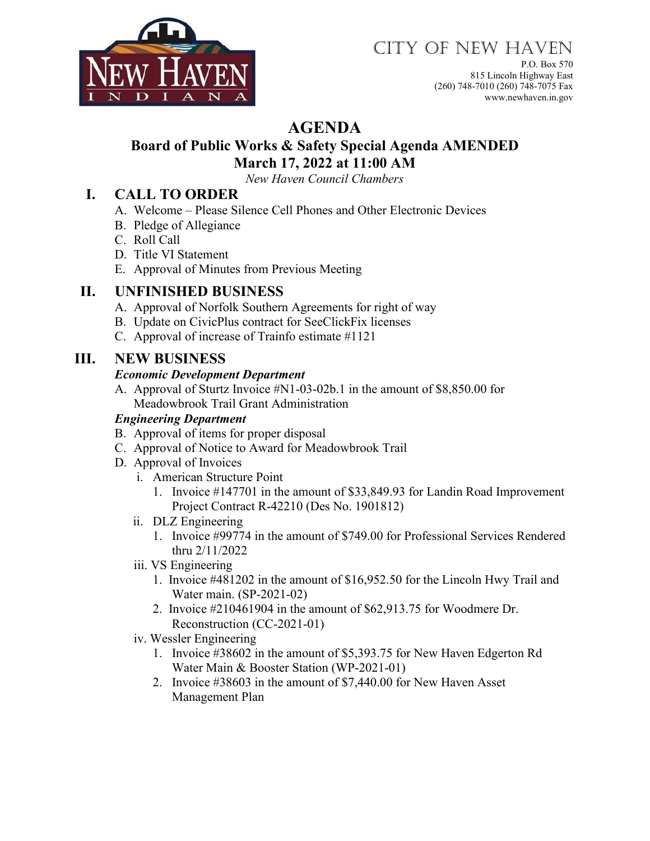

# CITY OF NEW HAVEN

P.O. Box 570 815 Lincoln Highway East (260) 748-7010 (260) 748-7075 Fax www.newhaven.in.gov

# **AGENDA**

# **Board of Public Works & Safety Special Agenda AMENDED March 17, 2022 at 11:00 AM**

*New Haven Council Chambers*

## **I. CALL TO ORDER**

- A. Welcome Please Silence Cell Phones and Other Electronic Devices
- B. Pledge of Allegiance
- C. Roll Call
- D. Title VI Statement
- E. Approval of Minutes from Previous Meeting

## **II. UNFINISHED BUSINESS**

- A. Approval of Norfolk Southern Agreements for right of way
- B. Update on CivicPlus contract for SeeClickFix licenses
- C. Approval of increase of Trainfo estimate #1121

## **III. NEW BUSINESS**

#### *Economic Development Department*

A. Approval of Sturtz Invoice #N1-03-02b.1 in the amount of \$8,850.00 for Meadowbrook Trail Grant Administration

#### *Engineering Department*

- B. Approval of items for proper disposal
- C. Approval of Notice to Award for Meadowbrook Trail
- D. Approval of Invoices
	- i. American Structure Point
		- 1. Invoice #147701 in the amount of \$33,849.93 for Landin Road Improvement Project Contract R-42210 (Des No. 1901812)
	- ii. DLZ Engineering
		- 1. Invoice #99774 in the amount of \$749.00 for Professional Services Rendered thru 2/11/2022
	- iii. VS Engineering
		- 1. Invoice #481202 in the amount of \$16,952.50 for the Lincoln Hwy Trail and Water main. (SP-2021-02)
		- 2. Invoice #210461904 in the amount of \$62,913.75 for Woodmere Dr. Reconstruction (CC-2021-01)
	- iv. Wessler Engineering
		- 1. Invoice #38602 in the amount of \$5,393.75 for New Haven Edgerton Rd Water Main & Booster Station (WP-2021-01)
		- 2. Invoice #38603 in the amount of \$7,440.00 for New Haven Asset Management Plan